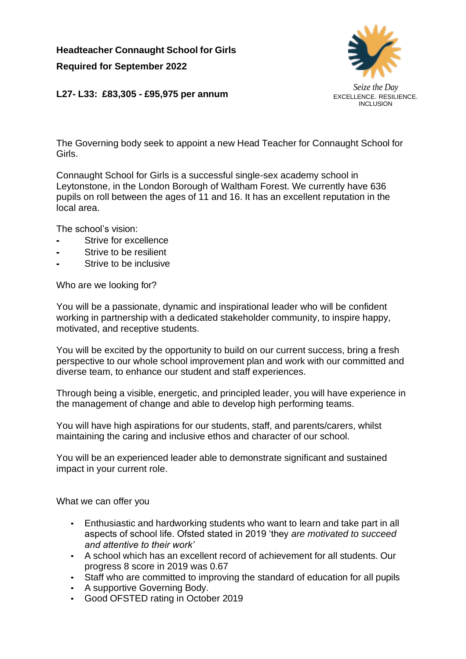**Headteacher Connaught School for Girls Required for September 2022**



**L27- L33: £83,305 - £95,975 per annum**

The Governing body seek to appoint a new Head Teacher for Connaught School for Girls.

Connaught School for Girls is a successful single-sex academy school in Leytonstone, in the London Borough of Waltham Forest. We currently have 636 pupils on roll between the ages of 11 and 16. It has an excellent reputation in the local area.

The school's vision:

- Strive for excellence
- Strive to be resilient
- Strive to be inclusive

Who are we looking for?

You will be a passionate, dynamic and inspirational leader who will be confident working in partnership with a dedicated stakeholder community, to inspire happy, motivated, and receptive students.

You will be excited by the opportunity to build on our current success, bring a fresh perspective to our whole school improvement plan and work with our committed and diverse team, to enhance our student and staff experiences.

Through being a visible, energetic, and principled leader, you will have experience in the management of change and able to develop high performing teams.

You will have high aspirations for our students, staff, and parents/carers, whilst maintaining the caring and inclusive ethos and character of our school.

You will be an experienced leader able to demonstrate significant and sustained impact in your current role.

What we can offer you

- Enthusiastic and hardworking students who want to learn and take part in all aspects of school life. Ofsted stated in 2019 'they *are motivated to succeed and attentive to their work'*
- A school which has an excellent record of achievement for all students. Our progress 8 score in 2019 was 0.67
- Staff who are committed to improving the standard of education for all pupils
- A supportive Governing Body.
- Good OFSTED rating in October 2019